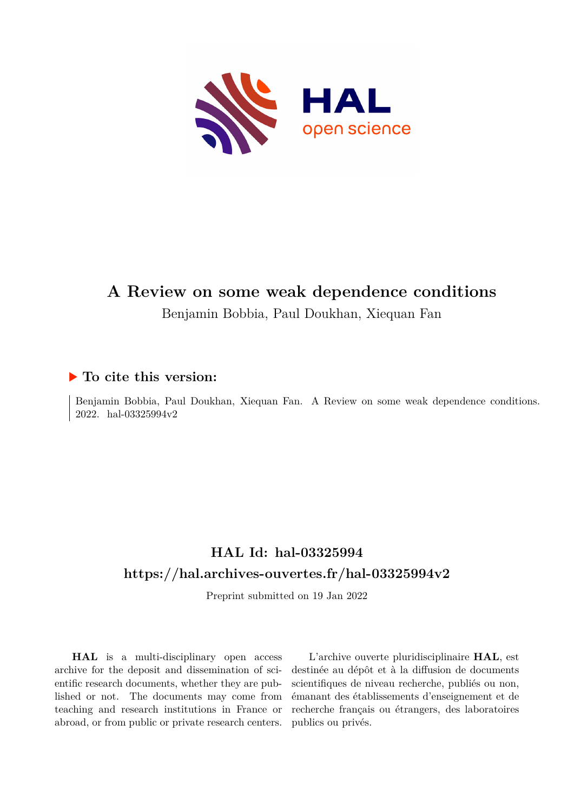

# **A Review on some weak dependence conditions** Benjamin Bobbia, Paul Doukhan, Xiequan Fan

# **To cite this version:**

Benjamin Bobbia, Paul Doukhan, Xiequan Fan. A Review on some weak dependence conditions. 2022. hal-03325994 $v2$ 

# **HAL Id: hal-03325994 <https://hal.archives-ouvertes.fr/hal-03325994v2>**

Preprint submitted on 19 Jan 2022

**HAL** is a multi-disciplinary open access archive for the deposit and dissemination of scientific research documents, whether they are published or not. The documents may come from teaching and research institutions in France or abroad, or from public or private research centers.

L'archive ouverte pluridisciplinaire **HAL**, est destinée au dépôt et à la diffusion de documents scientifiques de niveau recherche, publiés ou non, émanant des établissements d'enseignement et de recherche français ou étrangers, des laboratoires publics ou privés.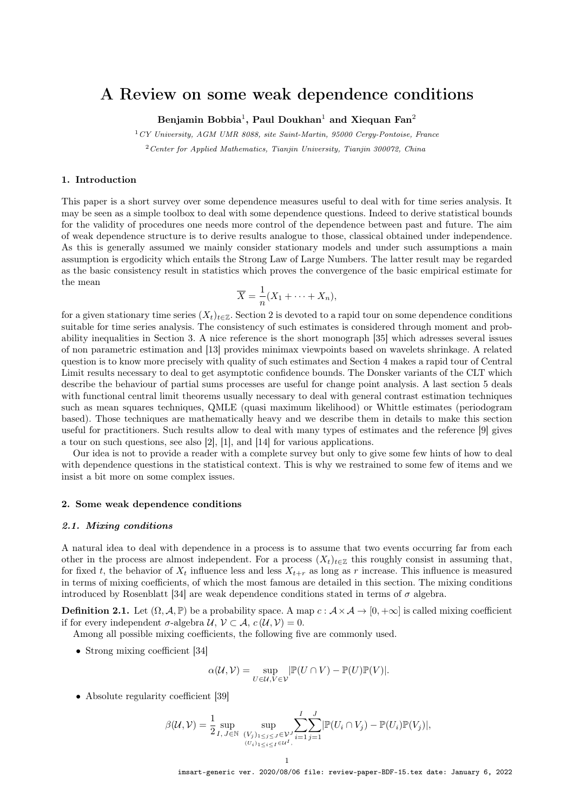## A Review on some weak dependence conditions

Benjamin Bobbia $^1,$  Paul Doukhan $^1$  and Xiequan Fan $^2$ 

 $1CY$  University, AGM UMR 8088, site Saint-Martin, 95000 Cergy-Pontoise, France

 $2$  Center for Applied Mathematics, Tianjin University, Tianjin 300072, China

### 1. Introduction

This paper is a short survey over some dependence measures useful to deal with for time series analysis. It may be seen as a simple toolbox to deal with some dependence questions. Indeed to derive statistical bounds for the validity of procedures one needs more control of the dependence between past and future. The aim of weak dependence structure is to derive results analogue to those, classical obtained under independence. As this is generally assumed we mainly consider stationary models and under such assumptions a main assumption is ergodicity which entails the Strong Law of Large Numbers. The latter result may be regarded as the basic consistency result in statistics which proves the convergence of the basic empirical estimate for the mean

$$
\overline{X} = \frac{1}{n}(X_1 + \dots + X_n),
$$

for a given stationary time series  $(X_t)_{t\in\mathbb{Z}}$ . Section 2 is devoted to a rapid tour on some dependence conditions suitable for time series analysis. The consistency of such estimates is considered through moment and probability inequalities in Section 3. A nice reference is the short monograph [35] which adresses several issues of non parametric estimation and [13] provides minimax viewpoints based on wavelets shrinkage. A related question is to know more precisely with quality of such estimates and Section 4 makes a rapid tour of Central Limit results necessary to deal to get asymptotic confidence bounds. The Donsker variants of the CLT which describe the behaviour of partial sums processes are useful for change point analysis. A last section 5 deals with functional central limit theorems usually necessary to deal with general contrast estimation techniques such as mean squares techniques, QMLE (quasi maximum likelihood) or Whittle estimates (periodogram based). Those techniques are mathematically heavy and we describe them in details to make this section useful for practitioners. Such results allow to deal with many types of estimates and the reference [9] gives a tour on such questions, see also [2], [1], and [14] for various applications.

Our idea is not to provide a reader with a complete survey but only to give some few hints of how to deal with dependence questions in the statistical context. This is why we restrained to some few of items and we insist a bit more on some complex issues.

#### 2. Some weak dependence conditions

#### 2.1. Mixing conditions

A natural idea to deal with dependence in a process is to assume that two events occurring far from each other in the process are almost independent. For a process  $(X_t)_{t\in\mathbb{Z}}$  this roughly consist in assuming that, for fixed t, the behavior of  $X_t$  influence less and less  $X_{t+r}$  as long as r increase. This influence is measured in terms of mixing coefficients, of which the most famous are detailed in this section. The mixing conditions introduced by Rosenblatt [34] are weak dependence conditions stated in terms of  $\sigma$  algebra.

**Definition 2.1.** Let  $(\Omega, \mathcal{A}, \mathbb{P})$  be a probability space. A map  $c : \mathcal{A} \times \mathcal{A} \rightarrow [0, +\infty]$  is called mixing coefficient if for every independent  $\sigma$ -algebra  $\mathcal{U}, \mathcal{V} \subset \mathcal{A}, c(\mathcal{U}, \mathcal{V}) = 0.$ 

Among all possible mixing coefficients, the following five are commonly used.

• Strong mixing coefficient [34]

$$
\alpha(\mathcal{U}, \mathcal{V}) = \sup_{U \in \mathcal{U}, V \in \mathcal{V}} |\mathbb{P}(U \cap V) - \mathbb{P}(U)\mathbb{P}(V)|.
$$

• Absolute regularity coefficient [39]

$$
\beta(\mathcal{U},\mathcal{V})=\frac{1}{2}\sup_{I,\,J\in\mathbb{N}}\sup_{\substack{(V_j)_{1\leq j\leq J}\in\mathcal{V}^J\\(U_i)_{1\leq i\leq I}\in\mathcal{U}^I}}\sum_{i=1}^I\sum_{j=1}^J\lvert\mathbb{P}(U_i\cap V_j)-\mathbb{P}(U_i)\mathbb{P}(V_j)\rvert,
$$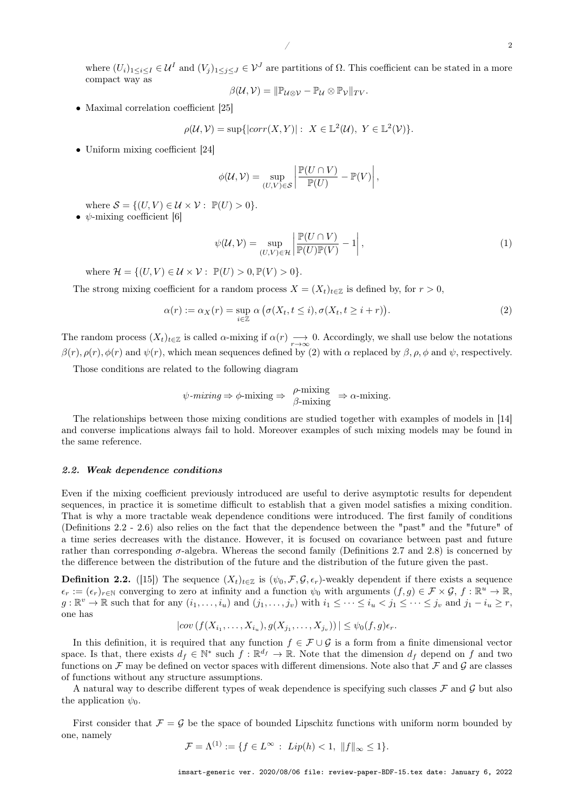where  $(U_i)_{1\leq i\leq I}\in\mathcal{U}^I$  and  $(V_j)_{1\leq j\leq J}\in\mathcal{V}^J$  are partitions of  $\Omega$ . This coefficient can be stated in a more compact way as

$$
\beta(\mathcal{U}, \mathcal{V}) = \|\mathbb{P}_{\mathcal{U}\otimes\mathcal{V}} - \mathbb{P}_{\mathcal{U}}\otimes\mathbb{P}_{\mathcal{V}}\|_{TV}.
$$

• Maximal correlation coefficient [25]

$$
\rho(\mathcal{U}, \mathcal{V}) = \sup\{|\text{corr}(X, Y)| : X \in \mathbb{L}^2(\mathcal{U}), Y \in \mathbb{L}^2(\mathcal{V})\}.
$$

• Uniform mixing coefficient [24]

$$
\phi(\mathcal{U},\mathcal{V})=\sup_{(U,V)\in\mathcal{S}}\left|\frac{\mathbb{P}(U\cap V)}{\mathbb{P}(U)}-\mathbb{P}(V)\right|,
$$

where  $S = \{(U, V) \in \mathcal{U} \times \mathcal{V} : \mathbb{P}(U) > 0\}.$ •  $\psi$ -mixing coefficient [6]

$$
\psi(\mathcal{U}, \mathcal{V}) = \sup_{(U, V) \in \mathcal{H}} \left| \frac{\mathbb{P}(U \cap V)}{\mathbb{P}(U)\mathbb{P}(V)} - 1 \right|,
$$
\n(1)

where  $\mathcal{H} = \{(U, V) \in \mathcal{U} \times \mathcal{V} : \mathbb{P}(U) > 0, \mathbb{P}(V) > 0\}.$ 

The strong mixing coefficient for a random process  $X = (X_t)_{t \in \mathbb{Z}}$  is defined by, for  $r > 0$ ,

$$
\alpha(r) := \alpha_X(r) = \sup_{i \in \mathbb{Z}} \alpha \left( \sigma(X_t, t \le i), \sigma(X_t, t \ge i + r) \right). \tag{2}
$$

The random process  $(X_t)_{t\in\mathbb{Z}}$  is called  $\alpha$ -mixing if  $\alpha(r) \rightarrow 0$ . Accordingly, we shall use below the notations  $\beta(r), \rho(r), \phi(r)$  and  $\psi(r)$ , which mean sequences defined by (2) with  $\alpha$  replaced by  $\beta, \rho, \phi$  and  $\psi$ , respectively.

Those conditions are related to the following diagram

$$
\psi
$$
-mixing  $\Rightarrow \phi$ -mixing  $\Rightarrow \frac{\rho$ -mixing  $\Rightarrow \alpha$ -mixing.

The relationships between those mixing conditions are studied together with examples of models in [14] and converse implications always fail to hold. Moreover examples of such mixing models may be found in the same reference.

#### 2.2. Weak dependence conditions

Even if the mixing coefficient previously introduced are useful to derive asymptotic results for dependent sequences, in practice it is sometime difficult to establish that a given model satisfies a mixing condition. That is why a more tractable weak dependence conditions were introduced. The first family of conditions (Definitions 2.2 - 2.6) also relies on the fact that the dependence between the "past" and the "future" of a time series decreases with the distance. However, it is focused on covariance between past and future rather than corresponding  $\sigma$ -algebra. Whereas the second family (Definitions 2.7 and 2.8) is concerned by the difference between the distribution of the future and the distribution of the future given the past.

**Definition 2.2.** ([15]) The sequence  $(X_t)_{t \in \mathbb{Z}}$  is  $(\psi_0, \mathcal{F}, \mathcal{G}, \epsilon_r)$ -weakly dependent if there exists a sequence  $\epsilon_r := (\epsilon_r)_{r \in \mathbb{N}}$  converging to zero at infinity and a function  $\psi_0$  with arguments  $(f, g) \in \mathcal{F} \times \mathcal{G}$ ,  $f : \mathbb{R}^u \to \mathbb{R}$ ,  $g: \mathbb{R}^v \to \mathbb{R}$  such that for any  $(i_1, \ldots, i_u)$  and  $(j_1, \ldots, j_v)$  with  $i_1 \leq \cdots \leq i_u < j_1 \leq \cdots \leq j_v$  and  $j_1 - i_u \geq r$ , one has

$$
|cov(f(X_{i_1},\ldots,X_{i_u}),g(X_{j_1},\ldots,X_{j_v}))| \leq \psi_0(f,g)\epsilon_r.
$$

In this definition, it is required that any function  $f \in \mathcal{F} \cup \mathcal{G}$  is a form from a finite dimensional vector space. Is that, there exists  $d_f \in \mathbb{N}^*$  such  $f : \mathbb{R}^{d_f} \to \mathbb{R}$ . Note that the dimension  $d_f$  depend on f and two functions on F may be defined on vector spaces with different dimensions. Note also that F and G are classes of functions without any structure assumptions.

A natural way to describe different types of weak dependence is specifying such classes  $\mathcal F$  and  $\mathcal G$  but also the application  $\psi_0$ .

First consider that  $\mathcal{F} = \mathcal{G}$  be the space of bounded Lipschitz functions with uniform norm bounded by one, namely

$$
\mathcal{F} = \Lambda^{(1)} := \{ f \in L^{\infty} : \ Lip(h) < 1, \ \| f \|_{\infty} \le 1 \}.
$$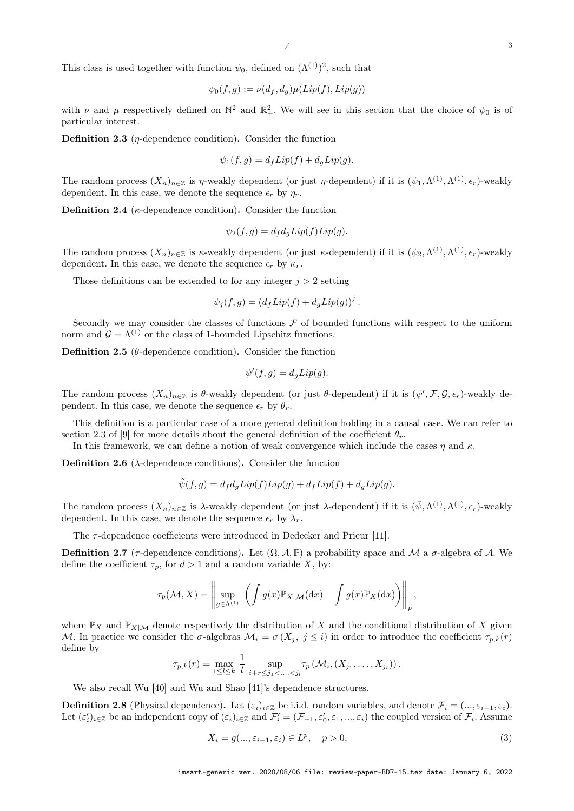This class is used together with function  $\psi_0$ , defined on  $(\Lambda^{(1)})^2$ , such that

$$
\psi_0(f,g) := \nu(d_f, d_g)\mu(Lip(f), Lip(g))
$$

with  $\nu$  and  $\mu$  respectively defined on  $\mathbb{N}^2$  and  $\mathbb{R}^2_+$ . We will see in this section that the choice of  $\psi_0$  is of particular interest.

**Definition 2.3** ( $\eta$ -dependence condition). Consider the function

$$
\psi_1(f,g) = d_f Lip(f) + d_g Lip(g).
$$

The random process  $(X_n)_{n\in\mathbb{Z}}$  is  $\eta$ -weakly dependent (or just  $\eta$ -dependent) if it is  $(\psi_1,\Lambda^{(1)},\Lambda^{(1)},\epsilon_r)$ -weakly dependent. In this case, we denote the sequence  $\epsilon_r$  by  $\eta_r$ .

**Definition 2.4** ( $\kappa$ -dependence condition). Consider the function

$$
\psi_2(f,g) = d_f d_g Lip(f) Lip(g).
$$

The random process  $(X_n)_{n\in\mathbb{Z}}$  is  $\kappa$ -weakly dependent (or just  $\kappa$ -dependent) if it is  $(\psi_2,\Lambda^{(1)},\Lambda^{(1)},\epsilon_r)$ -weakly dependent. In this case, we denote the sequence  $\epsilon_r$  by  $\kappa_r$ .

Those definitions can be extended to for any integer  $j > 2$  setting

$$
\psi_j(f,g) = (d_f Lip(f) + d_g Lip(g))^j.
$$

Secondly we may consider the classes of functions  $F$  of bounded functions with respect to the uniform norm and  $\mathcal{G} = \Lambda^{(1)}$  or the class of 1-bounded Lipschitz functions.

Definition 2.5 ( $\theta$ -dependence condition). Consider the function

$$
\psi'(f,g) = d_g Lip(g).
$$

The random process  $(X_n)_{n\in\mathbb{Z}}$  is  $\theta$ -weakly dependent (or just  $\theta$ -dependent) if it is  $(\psi', \mathcal{F}, \mathcal{G}, \epsilon_r)$ -weakly dependent. In this case, we denote the sequence  $\epsilon_r$  by  $\theta_r$ .

This definition is a particular case of a more general definition holding in a causal case. We can refer to section 2.3 of [9] for more details about the general definition of the coefficient  $\theta_r$ .

In this framework, we can define a notion of weak convergence which include the cases  $\eta$  and  $\kappa$ .

**Definition 2.6** ( $\lambda$ -dependence conditions). Consider the function

$$
\tilde{\psi}(f,g) = d_f d_g Lip(f) Lip(g) + d_f Lip(f) + d_g Lip(g).
$$

The random process  $(X_n)_{n\in\mathbb{Z}}$  is  $\lambda$ -weakly dependent (or just  $\lambda$ -dependent) if it is  $(\tilde{\psi}, \Lambda^{(1)}, \Lambda^{(1)}, \epsilon_r)$ -weakly dependent. In this case, we denote the sequence  $\epsilon_r$  by  $\lambda_r$ .

The  $\tau$ -dependence coefficients were introduced in Dedecker and Prieur [11].

**Definition 2.7** ( $\tau$ -dependence conditions). Let  $(\Omega, \mathcal{A}, \mathbb{P})$  a probability space and M a  $\sigma$ -algebra of A. We define the coefficient  $\tau_p$ , for  $d > 1$  and a random variable X, by:

$$
\tau_p(\mathcal{M}, X) = \left\| \sup_{g \in \Lambda^{(1)}} \left( \int g(x) \mathbb{P}_{X | \mathcal{M}}(\mathrm{d}x) - \int g(x) \mathbb{P}_X(\mathrm{d}x) \right) \right\|_p,
$$

where  $\mathbb{P}_X$  and  $\mathbb{P}_{X|\mathcal{M}}$  denote respectively the distribution of X and the conditional distribution of X given M. In practice we consider the  $\sigma$ -algebras  $\mathcal{M}_i = \sigma(X_i, j \leq i)$  in order to introduce the coefficient  $\tau_{p,k}(r)$ define by

$$
\tau_{p,k}(r) = \max_{1 \leq l \leq k} \frac{1}{l} \sup_{i+r \leq j_1 < \ldots, < j_l} \tau_p \left( \mathcal{M}_i, (X_{j_1}, \ldots, X_{j_l}) \right).
$$

We also recall Wu [40] and Wu and Shao [41]'s dependence structures.

**Definition 2.8** (Physical dependence). Let  $(\varepsilon_i)_{i\in\mathbb{Z}}$  be i.i.d. random variables, and denote  $\mathcal{F}_i = (..., \varepsilon_{i-1}, \varepsilon_i)$ . Let  $(\varepsilon_i')_{i\in\mathbb{Z}}$  be an independent copy of  $(\varepsilon_i)_{i\in\mathbb{Z}}$  and  $\mathcal{F}'_i = (\mathcal{F}_{-1}, \varepsilon'_0, \varepsilon_1, ..., \varepsilon_i)$  the coupled version of  $\mathcal{F}_i$ . Assume

$$
X_i = g(\ldots, \varepsilon_{i-1}, \varepsilon_i) \in L^p, \quad p > 0,
$$
\n
$$
(3)
$$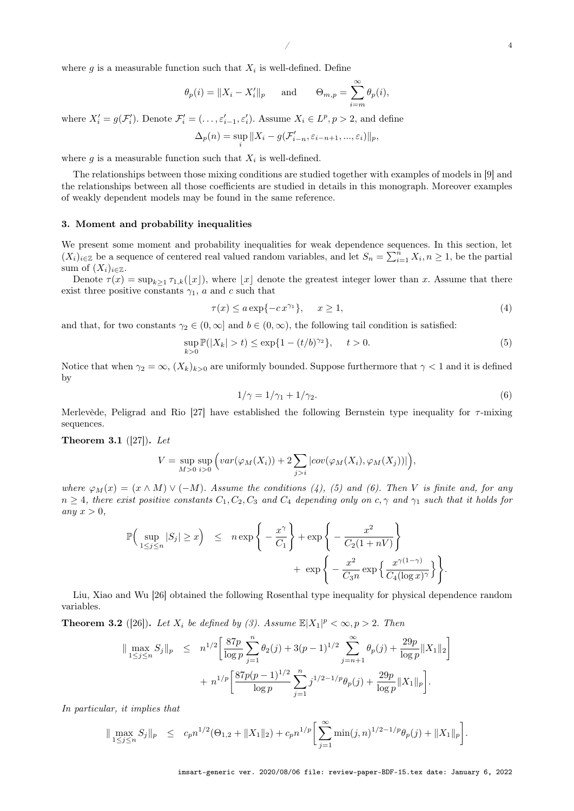where  $g$  is a measurable function such that  $X_i$  is well-defined. Define

$$
\theta_p(i) = \|X_i - X'_i\|_p
$$
 and  $\Theta_{m,p} = \sum_{i=m}^{\infty} \theta_p(i),$ 

where  $X'_i = g(\mathcal{F}'_i)$ . Denote  $\mathcal{F}'_i = (\ldots, \varepsilon'_{i-1}, \varepsilon'_i)$ . Assume  $X_i \in L^p, p > 2$ , and define

$$
\Delta_p(n) = \sup_i ||X_i - g(\mathcal{F}'_{i-n}, \varepsilon_{i-n+1}, ..., \varepsilon_i)||_p,
$$

where  $g$  is a measurable function such that  $X_i$  is well-defined.

The relationships between those mixing conditions are studied together with examples of models in [9] and the relationships between all those coefficients are studied in details in this monograph. Moreover examples of weakly dependent models may be found in the same reference.

#### 3. Moment and probability inequalities

We present some moment and probability inequalities for weak dependence sequences. In this section, let  $(X_i)_{i\in\mathbb{Z}}$  be a sequence of centered real valued random variables, and let  $S_n = \sum_{i=1}^n X_i, n \geq 1$ , be the partial sum of  $(X_i)_{i\in\mathbb{Z}}$ .

Denote  $\tau(x) = \sup_{k \geq 1} \tau_{1,k}(\lfloor x \rfloor)$ , where  $\lfloor x \rfloor$  denote the greatest integer lower than x. Assume that there exist three positive constants  $\gamma_1$ , a and c such that

$$
\tau(x) \le a \exp\{-cx^{\gamma_1}\}, \quad x \ge 1,\tag{4}
$$

and that, for two constants  $\gamma_2 \in (0, \infty]$  and  $b \in (0, \infty)$ , the following tail condition is satisfied:

$$
\sup_{k>0} \mathbb{P}(|X_k| > t) \le \exp\{1 - (t/b)^{\gamma_2}\}, \quad t > 0. \tag{5}
$$

Notice that when  $\gamma_2 = \infty$ ,  $(X_k)_{k>0}$  are uniformly bounded. Suppose furthermore that  $\gamma < 1$  and it is defined by

$$
1/\gamma = 1/\gamma_1 + 1/\gamma_2. \tag{6}
$$

.

Merlevède, Peligrad and Rio [27] have established the following Bernstein type inequality for  $\tau$ -mixing sequences.

Theorem 3.1  $([27])$ . Let

$$
V = \sup_{M>0} \sup_{i>0} \Big( var(\varphi_M(X_i)) + 2 \sum_{j>i} |cov(\varphi_M(X_i), \varphi_M(X_j))| \Big),
$$

where  $\varphi_M(x) = (x \wedge M) \vee (-M)$ . Assume the conditions (4), (5) and (6). Then V is finite and, for any  $n \geq 4$ , there exist positive constants  $C_1, C_2, C_3$  and  $C_4$  depending only on  $c, \gamma$  and  $\gamma_1$  such that it holds for any  $x > 0$ ,

$$
\mathbb{P}\Big(\sup_{1 \le j \le n} |S_j| \ge x\Big) \le n \exp\Bigg\{-\frac{x^{\gamma}}{C_1}\Bigg\} + \exp\Bigg\{-\frac{x^2}{C_2(1+nV)}\Bigg\} + \exp\Bigg\{-\frac{x^2}{C_3n} \exp\Big\{\frac{x^{\gamma(1-\gamma)}}{C_4(\log x)^{\gamma}}\Big\}\Bigg\}
$$

Liu, Xiao and Wu [26] obtained the following Rosenthal type inequality for physical dependence random variables.

**Theorem 3.2** ([26]). Let  $X_i$  be defined by (3). Assume  $\mathbb{E}|X_1|^p < \infty, p > 2$ . Then

$$
\|\max_{1\leq j\leq n} S_j\|_p \leq n^{1/2} \left[ \frac{87p}{\log p} \sum_{j=1}^n \theta_2(j) + 3(p-1)^{1/2} \sum_{j=n+1}^\infty \theta_p(j) + \frac{29p}{\log p} \|X_1\|_2 \right] + n^{1/p} \left[ \frac{87p(p-1)^{1/2}}{\log p} \sum_{j=1}^n j^{1/2-1/p} \theta_p(j) + \frac{29p}{\log p} \|X_1\|_p \right].
$$

In particular, it implies that

$$
\|\max_{1\leq j\leq n} S_j\|_p \leq c_p n^{1/2} (\Theta_{1,2} + \|X_1\|_2) + c_p n^{1/p} \left[ \sum_{j=1}^{\infty} \min(j,n)^{1/2-1/p} \theta_p(j) + \|X_1\|_p \right].
$$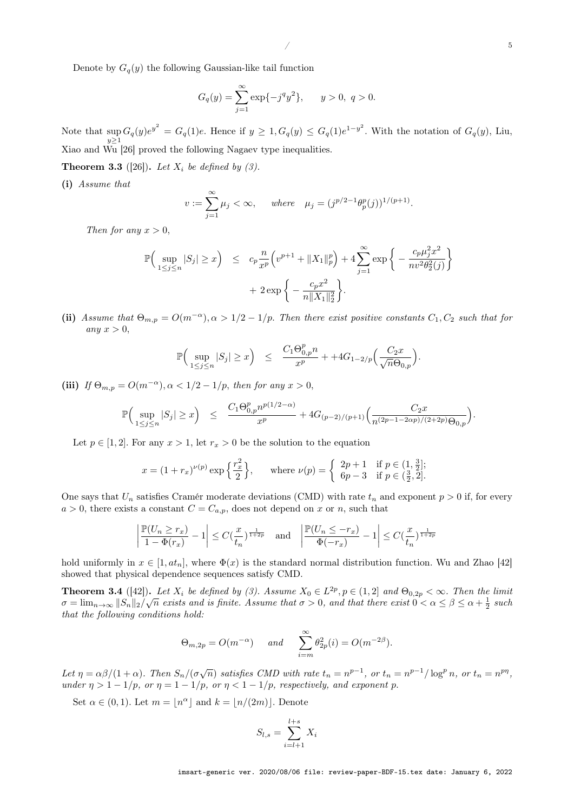Denote by  $G_q(y)$  the following Gaussian-like tail function

$$
G_q(y) = \sum_{j=1}^{\infty} \exp\{-j^q y^2\}, \qquad y > 0, \ q > 0.
$$

Note that  $\sup_{y\geq 1} G_q(y)e^{y^2} = G_q(1)e$ . Hence if  $y \geq 1, G_q(y) \leq G_q(1)e^{1-y^2}$ . With the notation of  $G_q(y)$ , Liu, Xiao and Wu [26] proved the following Nagaev type inequalities.

**Theorem 3.3** ([26]). Let  $X_i$  be defined by (3).

(i) Assume that

$$
v := \sum_{j=1}^{\infty} \mu_j < \infty
$$
, where  $\mu_j = (j^{p/2-1} \theta_p^p(j))^{1/(p+1)}$ .

Then for any  $x > 0$ ,

$$
\mathbb{P}\Big(\sup_{1 \le j \le n} |S_j| \ge x\Big) \le c_p \frac{n}{x^p} \Big(v^{p+1} + \|X_1\|_p^p \Big) + 4 \sum_{j=1}^{\infty} \exp \Big\{ -\frac{c_p \mu_j^2 x^2}{n v^2 \theta_2^2(j)} \Big\} + 2 \exp \Big\{ -\frac{c_p x^2}{n \|X_1\|_2^2} \Big\}.
$$

(ii) Assume that  $\Theta_{m,p} = O(m^{-\alpha}), \alpha > 1/2 - 1/p$ . Then there exist positive constants  $C_1, C_2$  such that for any  $x > 0$ ,

$$
\mathbb{P}\Big(\sup_{1\leq j\leq n}|S_j|\geq x\Big)\quad\leq\quad \frac{C_1\Theta_{0,p}^p n}{x^p}++4G_{1-2/p}\Big(\frac{C_2x}{\sqrt{n}\Theta_{0,p}}\Big).
$$

(iii) If  $\Theta_{m,n} = O(m^{-\alpha}), \alpha < 1/2 - 1/p$ , then for any  $x > 0$ ,

$$
\mathbb{P}\Big(\sup_{1\leq j\leq n}|S_j|\geq x\Big)\quad\leq \quad \frac{C_1\Theta_{0,p}^pp^{p(1/2-\alpha)}}{x^p}+4G_{(p-2)/(p+1)}\Big(\frac{C_2x}{n^{(2p-1-2\alpha p)/(2+2p)}\Theta_{0,p}}\Big).
$$

Let  $p \in [1,2]$ . For any  $x > 1$ , let  $r_x > 0$  be the solution to the equation

$$
x = (1 + r_x)^{\nu(p)} \exp\left\{\frac{r_x^2}{2}\right\}, \quad \text{where } \nu(p) = \begin{cases} 2p + 1 & \text{if } p \in (1, \frac{3}{2}]; \\ 6p - 3 & \text{if } p \in (\frac{3}{2}, 2]. \end{cases}
$$

One says that  $U_n$  satisfies Cramér moderate deviations (CMD) with rate  $t_n$  and exponent  $p > 0$  if, for every  $a > 0$ , there exists a constant  $C = C_{a,p}$ , does not depend on x or n, such that

$$
\left|\frac{\mathbb{P}(U_n \geq r_x)}{1-\Phi(r_x)}-1\right| \leq C(\frac{x}{t_n})^{\frac{1}{1+2p}} \quad \text{and} \quad \left|\frac{\mathbb{P}(U_n \leq -r_x)}{\Phi(-r_x)}-1\right| \leq C(\frac{x}{t_n})^{\frac{1}{1+2p}}
$$

hold uniformly in  $x \in [1, at_n]$ , where  $\Phi(x)$  is the standard normal distribution function. Wu and Zhao [42] showed that physical dependence sequences satisfy CMD.

**Theorem 3.4** ([42]). Let  $X_i$  be defined by (3). Assume  $X_0 \in L^{2p}, p \in (1,2]$  and  $\Theta_{0,2p} < \infty$ . Then the limit  $\sigma = \lim_{n \to \infty} ||S_n||_2 / \sqrt{n}$  exists and is finite. Assume that  $\sigma > 0$ , and that there exist  $0 < \alpha \leq \beta \leq \alpha + \frac{1}{2}$  such that the following conditions hold:

$$
\Theta_{m,2p} = O(m^{-\alpha})
$$
 and  $\sum_{i=m}^{\infty} \theta_{2p}^2(i) = O(m^{-2\beta}).$ 

Let  $\eta = \alpha \beta/(1+\alpha)$ . Then  $S_n/(\sigma \sqrt{n})$  satisfies CMD with rate  $t_n = n^{p-1}$ , or  $t_n = n^{p-1}/\log^p n$ , or  $t_n = n^{p\eta}$ , under  $\eta > 1 - 1/p$ , or  $\eta = 1 - 1/p$ , or  $\eta < 1 - 1/p$ , respectively, and exponent p.

Set  $\alpha \in (0,1)$ . Let  $m = |n^{\alpha}|$  and  $k = |n/(2m)|$ . Denote

$$
S_{l,s} = \sum_{i=l+1}^{l+s} X_i
$$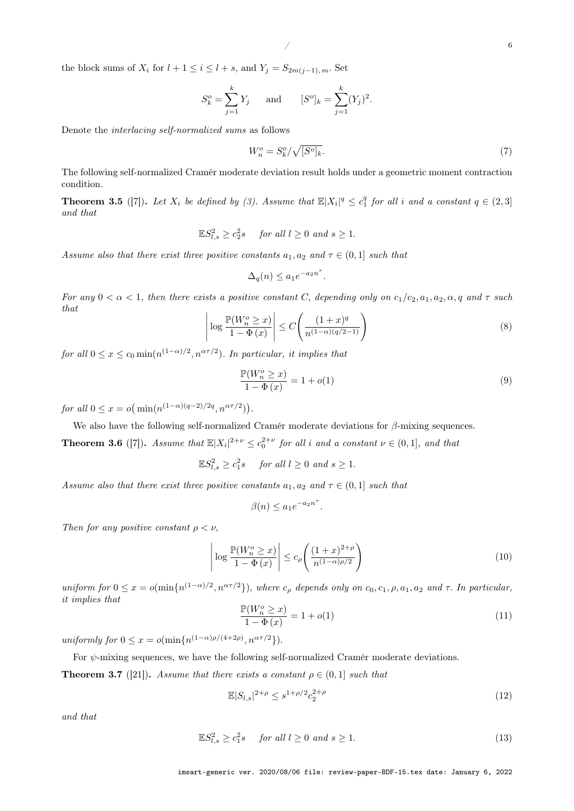the block sums of  $X_i$  for  $l + 1 \leq i \leq l + s$ , and  $Y_j = S_{2m(j-1), m}$ . Set

$$
S_k^o = \sum_{j=1}^k Y_j
$$
 and  $[S^o]_k = \sum_{j=1}^k (Y_j)^2$ .

Denote the interlacing self-normalized sums as follows

$$
W_n^o = S_k^o / \sqrt{[S^o]_k}.\tag{7}
$$

The following self-normalized Cramér moderate deviation result holds under a geometric moment contraction condition.

**Theorem 3.5** ([7]). Let  $X_i$  be defined by (3). Assume that  $\mathbb{E}|X_i|^q \leq c_1^q$  for all i and a constant  $q \in (2,3]$ and that

$$
\mathbb{E}S_{l,s}^2 \ge c_2^2s \quad \text{ for all } l \ge 0 \text{ and } s \ge 1.
$$

Assume also that there exist three positive constants  $a_1, a_2$  and  $\tau \in (0, 1]$  such that

$$
\Delta_q(n) \le a_1 e^{-a_2 n^{\tau}}.
$$

For any  $0 < \alpha < 1$ , then there exists a positive constant C, depending only on  $c_1/c_2, a_1, a_2, \alpha, q$  and  $\tau$  such that

$$
\left| \log \frac{\mathbb{P}(W_n^o \ge x)}{1 - \Phi(x)} \right| \le C \left( \frac{(1+x)^q}{n^{(1-\alpha)(q/2 - 1)}} \right) \tag{8}
$$

for all  $0 \le x \le c_0 \min(n^{(1-\alpha)/2}, n^{\alpha \tau/2})$ . In particular, it implies that

$$
\frac{\mathbb{P}(W_n^o \ge x)}{1 - \Phi(x)} = 1 + o(1)
$$
\n(9)

for all  $0 \le x = o(\min(n^{(1-\alpha)(q-2)/2q}, n^{\alpha \tau/2})).$ 

We also have the following self-normalized Cramér moderate deviations for  $\beta$ -mixing sequences.

**Theorem 3.6** ([7]). Assume that  $\mathbb{E}|X_i|^{2+\nu} \leq c_0^{2+\nu}$  for all i and a constant  $\nu \in (0,1]$ , and that

 $\mathbb{E}S_{l,s}^2 \ge c_1^2s$  for all  $l \ge 0$  and  $s \ge 1$ .

Assume also that there exist three positive constants  $a_1, a_2$  and  $\tau \in (0, 1]$  such that

$$
\beta(n) \le a_1 e^{-a_2 n^{\tau}}.
$$

Then for any positive constant  $\rho < \nu$ ,

$$
\left| \log \frac{\mathbb{P}(W_n^o \ge x)}{1 - \Phi(x)} \right| \le c_\rho \left( \frac{(1+x)^{2+\rho}}{n^{(1-\alpha)\rho/2}} \right) \tag{10}
$$

uniform for  $0 \le x = o(\min\{n^{(1-\alpha)/2}, n^{\alpha \tau/2}\})$ , where  $c_\rho$  depends only on  $c_0, c_1, \rho, a_1, a_2$  and  $\tau$ . In particular, it implies that

$$
\frac{\mathbb{P}(W_n^o \ge x)}{1 - \Phi(x)} = 1 + o(1)
$$
\n(11)

uniformly for  $0 \leq x = o(\min\{n^{(1-\alpha)\rho/(4+2\rho)}, n^{\alpha \tau/2}\}).$ 

For  $\psi$ -mixing sequences, we have the following self-normalized Cramér moderate deviations.

**Theorem 3.7** ([21]). Assume that there exists a constant  $\rho \in (0, 1]$  such that

$$
\mathbb{E}|S_{l,s}|^{2+\rho} \le s^{1+\rho/2} c_2^{2+\rho} \tag{12}
$$

and that

$$
\mathbb{E}S_{l,s}^2 \ge c_1^2s \quad \text{for all } l \ge 0 \text{ and } s \ge 1. \tag{13}
$$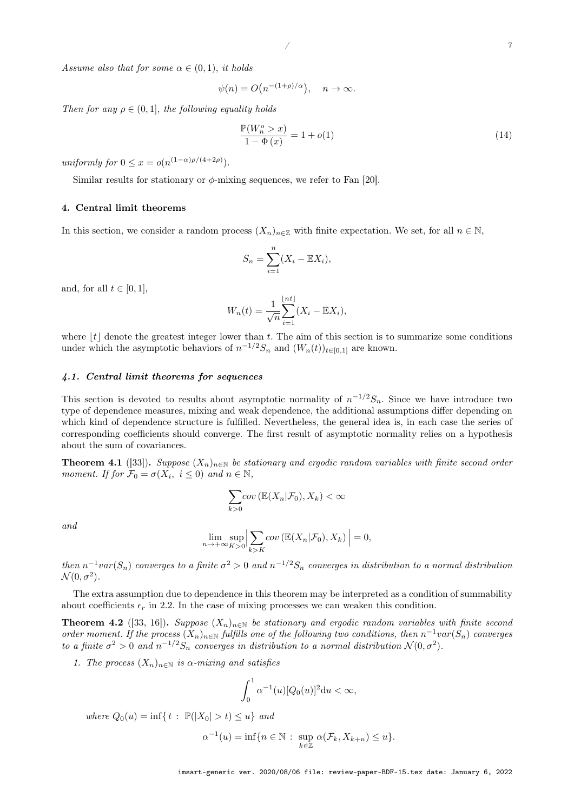Assume also that for some  $\alpha \in (0,1)$ , it holds

$$
\psi(n) = O\big(n^{-(1+\rho)/\alpha}\big), \quad n \to \infty.
$$

Then for any  $\rho \in (0, 1]$ , the following equality holds

$$
\frac{\mathbb{P}(W_n^o > x)}{1 - \Phi(x)} = 1 + o(1)
$$
\n
$$
(14)
$$

uniformly for  $0 \leq x = o(n^{(1-\alpha)\rho/(4+2\rho)})$ .

Similar results for stationary or  $\phi$ -mixing sequences, we refer to Fan [20].

### 4. Central limit theorems

In this section, we consider a random process  $(X_n)_{n\in\mathbb{Z}}$  with finite expectation. We set, for all  $n \in \mathbb{N}$ ,

$$
S_n = \sum_{i=1}^n (X_i - \mathbb{E}X_i),
$$

and, for all  $t \in [0, 1]$ ,

$$
W_n(t) = \frac{1}{\sqrt{n}} \sum_{i=1}^{\lfloor nt \rfloor} (X_i - \mathbb{E}X_i),
$$

where  $|t|$  denote the greatest integer lower than t. The aim of this section is to summarize some conditions under which the asymptotic behaviors of  $n^{-1/2}S_n$  and  $(W_n(t))_{t\in[0,1]}$  are known.

#### 4.1. Central limit theorems for sequences

This section is devoted to results about asymptotic normality of  $n^{-1/2}S_n$ . Since we have introduce two type of dependence measures, mixing and weak dependence, the additional assumptions differ depending on which kind of dependence structure is fulfilled. Nevertheless, the general idea is, in each case the series of corresponding coefficients should converge. The first result of asymptotic normality relies on a hypothesis about the sum of covariances.

**Theorem 4.1** ([33]). Suppose  $(X_n)_{n\in\mathbb{N}}$  be stationary and ergodic random variables with finite second order moment. If for  $\mathcal{F}_0 = \sigma(X_i, i \leq 0)$  and  $n \in \mathbb{N}$ ,

$$
\sum_{k>0} cov\left(\mathbb{E}(X_n|\mathcal{F}_0), X_k\right) < \infty
$$

and

$$
\lim_{n \to +\infty} \sup_{K>0} \Big| \sum_{k>K} cov\left(\mathbb{E}(X_n|\mathcal{F}_0), X_k\right) \Big| = 0,
$$

then  $n^{-1}var(S_n)$  converges to a finite  $\sigma^2 > 0$  and  $n^{-1/2}S_n$  converges in distribution to a normal distribution  $\mathcal{N}(0, \sigma^2)$ .

The extra assumption due to dependence in this theorem may be interpreted as a condition of summability about coefficients  $\epsilon_r$  in 2.2. In the case of mixing processes we can weaken this condition.

**Theorem 4.2** ([33, 16]). Suppose  $(X_n)_{n\in\mathbb{N}}$  be stationary and ergodic random variables with finite second order moment. If the process  $(X_n)_{n\in\mathbb{N}}$  fulfills one of the following two conditions, then  $n^{-1}var(S_n)$  converges to a finite  $\sigma^2 > 0$  and  $n^{-1/2}S_n$  converges in distribution to a normal distribution  $\mathcal{N}(0, \sigma^2)$ .

1. The process  $(X_n)_{n\in\mathbb{N}}$  is  $\alpha$ -mixing and satisfies

$$
\int_0^1 \alpha^{-1}(u)[Q_0(u)]^2 \mathrm{d}u < \infty,
$$

where  $Q_0(u) = \inf\{t : \mathbb{P}(|X_0| > t) \leq u\}$  and

$$
\alpha^{-1}(u) = \inf\{n \in \mathbb{N} : \sup_{k \in \mathbb{Z}} \alpha(\mathcal{F}_k, X_{k+n}) \le u\}.
$$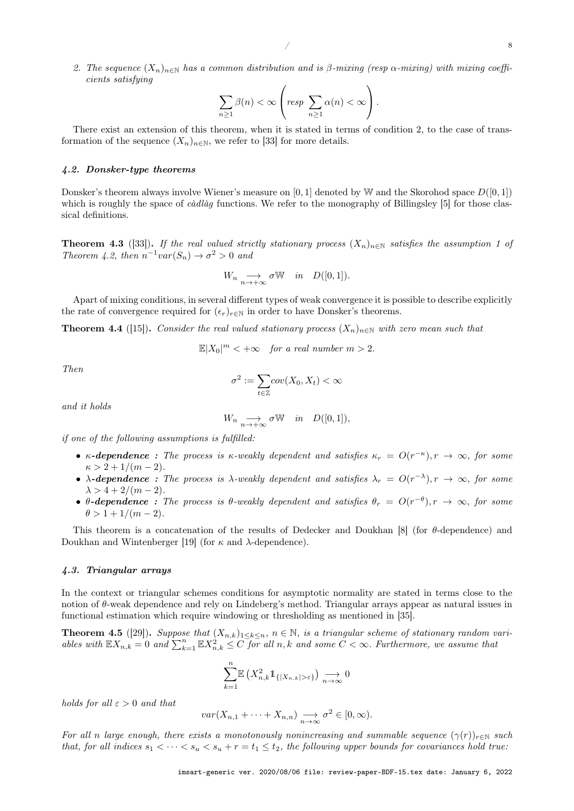2. The sequence  $(X_n)_{n\in\mathbb{N}}$  has a common distribution and is β-mixing (resp  $\alpha$ -mixing) with mixing coefficients satisfying

$$
\sum_{n\geq 1}\beta(n)<\infty\left(\text{resp }\sum_{n\geq 1}\alpha(n)<\infty\right).
$$

There exist an extension of this theorem, when it is stated in terms of condition 2, to the case of transformation of the sequence  $(X_n)_{n\in\mathbb{N}}$ , we refer to [33] for more details.

#### 4.2. Donsker-type theorems

Donsker's theorem always involve Wiener's measure on [0, 1] denoted by W and the Skorohod space  $D([0,1])$ which is roughly the space of *càdlàg* functions. We refer to the monography of Billingsley [5] for those classical definitions.

**Theorem 4.3** ([33]). If the real valued strictly stationary process  $(X_n)_{n\in\mathbb{N}}$  satisfies the assumption 1 of Theorem 4.2, then  $n^{-1}var(S_n) \to \sigma^2 > 0$  and

$$
W_n \underset{n \to +\infty}{\longrightarrow} \sigma W \quad in \quad D([0,1]).
$$

Apart of mixing conditions, in several different types of weak convergence it is possible to describe explicitly the rate of convergence required for  $({\epsilon_r})_{r \in \mathbb{N}}$  in order to have Donsker's theorems.

**Theorem 4.4** ([15]). Consider the real valued stationary process  $(X_n)_{n\in\mathbb{N}}$  with zero mean such that

$$
\mathbb{E}|X_0|^m < +\infty \quad \text{for a real number } m > 2.
$$

Then

$$
\sigma^2:=\sum_{t\in\mathbb{Z}} cov(X_0,X_t)<\infty
$$

and it holds

$$
W_n \underset{n \to +\infty}{\longrightarrow} \sigma W \quad in \quad D([0,1]),
$$

if one of the following assumptions is fulfilled:

- $\kappa$ -dependence : The process is  $\kappa$ -weakly dependent and satisfies  $\kappa_r = O(r^{-\kappa})$ ,  $r \to \infty$ , for some  $\kappa > 2 + 1/(m - 2)$ .
- $\lambda$ -dependence: The process is  $\lambda$ -weakly dependent and satisfies  $\lambda_r = O(r^{-\lambda}), r \to \infty$ , for some  $\lambda > 4 + 2/(m - 2)$ .
- $\theta$ -dependence: The process is  $\theta$ -weakly dependent and satisfies  $\theta_r = O(r^{-\theta}), r \to \infty$ , for some  $\theta > 1 + 1/(m - 2)$ .

This theorem is a concatenation of the results of Dedecker and Doukhan [8] (for θ-dependence) and Doukhan and Wintenberger [19] (for κ and λ-dependence).

#### 4.3. Triangular arrays

In the context or triangular schemes conditions for asymptotic normality are stated in terms close to the notion of  $\theta$ -weak dependence and rely on Lindeberg's method. Triangular arrays appear as natural issues in functional estimation which require windowing or thresholding as mentioned in [35].

**Theorem 4.5** ([29]). Suppose that  $(X_{n,k})_{1\leq k\leq n}$ ,  $n \in \mathbb{N}$ , is a triangular scheme of stationary random variables with  $\mathbb{E}X_{n,k} = 0$  and  $\sum_{k=1}^{n} \mathbb{E}X_{n,k}^2 \leq C$  for all n, k and some  $C < \infty$ . Furthermore, we assume that

$$
\sum_{k=1}^{n} \mathbb{E}\left(X_{n,k}^2 1_{\{|X_{n,k}|>\varepsilon\}}\right) \underset{n\to\infty}{\longrightarrow} 0
$$

holds for all  $\varepsilon > 0$  and that

$$
var(X_{n,1} + \cdots + X_{n,n}) \longrightarrow_{n \to \infty} \sigma^2 \in [0, \infty).
$$

For all n large enough, there exists a monotonously nonincreasing and summable sequence  $(\gamma(r))_{r\in\mathbb{N}}$  such that, for all indices  $s_1 < \cdots < s_u < s_u + r = t_1 \le t_2$ , the following upper bounds for covariances hold true: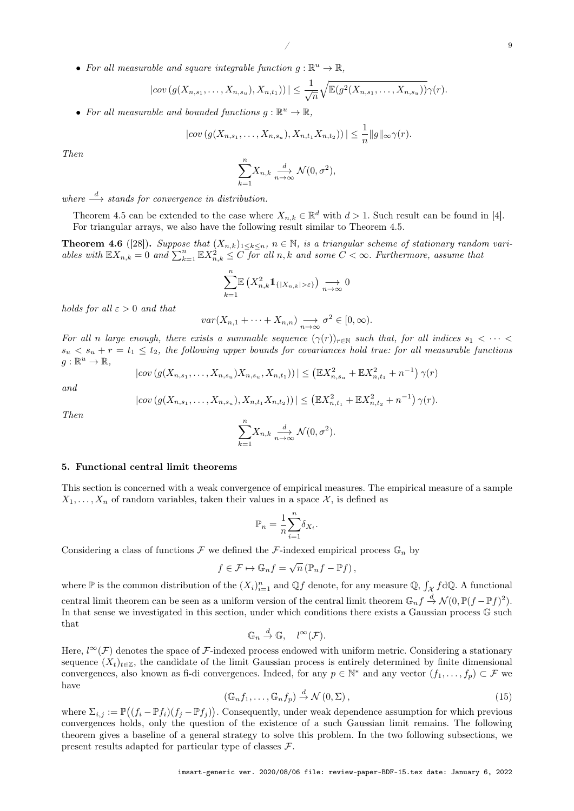• For all measurable and square integrable function  $g : \mathbb{R}^u \to \mathbb{R}$ ,

$$
|cov(g(X_{n,s_1},\ldots,X_{n,s_u}),X_{n,t_1}))| \leq \frac{1}{\sqrt{n}}\sqrt{\mathbb{E}(g^2(X_{n,s_1},\ldots,X_{n,s_u}))}\gamma(r).
$$

• For all measurable and bounded functions  $g : \mathbb{R}^u \to \mathbb{R}$ ,

$$
|cov(g(X_{n,s_1},\ldots,X_{n,s_u}),X_{n,t_1}X_{n,t_2}))| \leq \frac{1}{n}||g||_{\infty}\gamma(r).
$$

Then

$$
\sum_{k=1}^{n} X_{n,k} \xrightarrow[n \to \infty]{d} \mathcal{N}(0, \sigma^2),
$$

where  $\stackrel{d}{\longrightarrow}$  stands for convergence in distribution.

Theorem 4.5 can be extended to the case where  $X_{n,k} \in \mathbb{R}^d$  with  $d > 1$ . Such result can be found in [4]. For triangular arrays, we also have the following result similar to Theorem 4.5.

**Theorem 4.6** ([28]). Suppose that  $(X_{n,k})_{1\leq k\leq n}$ ,  $n \in \mathbb{N}$ , is a triangular scheme of stationary random variables with  $\mathbb{E}X_{n,k} = 0$  and  $\sum_{k=1}^{n} \mathbb{E}X_{n,k}^2 \leq C$  for all n, k and some  $C < \infty$ . Furthermore, assume that

$$
\sum_{k=1}^{n} \mathbb{E}\left(X_{n,k}^2 1\!\!1_{\{|X_{n,k}|>\varepsilon\}}\right) \underset{n\to\infty}{\longrightarrow} 0
$$

holds for all  $\varepsilon > 0$  and that

$$
var(X_{n,1} + \cdots + X_{n,n}) \underset{n \to \infty}{\longrightarrow} \sigma^2 \in [0, \infty).
$$

For all n large enough, there exists a summable sequence  $(\gamma(r))_{r \in \mathbb{N}}$  such that, for all indices  $s_1 < \cdots <$  $s_u < s_u + r = t_1 \leq t_2$ , the following upper bounds for covariances hold true: for all measurable functions  $g: \mathbb{R}^u \to \mathbb{R},$ 

$$
|cov(g(X_{n,s_1},\ldots,X_{n,s_u})X_{n,s_u},X_{n,t_1}))| \leq ({\mathbb{E}} X_{n,s_u}^2 + {\mathbb{E}} X_{n,t_1}^2 + n^{-1}) \gamma(r)
$$

and

$$
|cov(g(X_{n,s_1},\ldots,X_{n,s_u}),X_{n,t_1}X_{n,t_2}))| \leq (\mathbb{E}X_{n,t_1}^2 + \mathbb{E}X_{n,t_2}^2 + n^{-1})\gamma(r).
$$

Then

$$
\sum_{k=1}^{n} X_{n,k} \xrightarrow[n \to \infty]{d} \mathcal{N}(0, \sigma^2).
$$

#### 5. Functional central limit theorems

This section is concerned with a weak convergence of empirical measures. The empirical measure of a sample  $X_1, \ldots, X_n$  of random variables, taken their values in a space X, is defined as

$$
\mathbb{P}_n = \frac{1}{n} \sum_{i=1}^n \delta_{X_i}.
$$

Considering a class of functions  $\mathcal F$  we defined the  $\mathcal F$ -indexed empirical process  $\mathbb G_n$  by

$$
f \in \mathcal{F} \mapsto \mathbb{G}_n f = \sqrt{n} \left( \mathbb{P}_n f - \mathbb{P} f \right),
$$

where  $\mathbb P$  is the common distribution of the  $(X_i)_{i=1}^n$  and  $\mathbb Qf$  denote, for any measure  $\mathbb Q$ ,  $\int_{\mathcal X} f d\mathbb Q$ . A functional central limit theorem can be seen as a uniform version of the central limit theorem  $\mathbb{G}_n f \stackrel{d}{\rightarrow} \mathcal{N}(0,\mathbb{P}(f-\mathbb{P}f)^2)$ . In that sense we investigated in this section, under which conditions there exists a Gaussian process G such that

$$
\mathbb{G}_n \stackrel{d}{\to} \mathbb{G}, \quad l^{\infty}(\mathcal{F}).
$$

Here,  $l^{\infty}(\mathcal{F})$  denotes the space of F-indexed process endowed with uniform metric. Considering a stationary sequence  $(X_t)_{t\in\mathbb{Z}}$ , the candidate of the limit Gaussian process is entirely determined by finite dimensional convergences, also known as fi-di convergences. Indeed, for any  $p \in \mathbb{N}^*$  and any vector  $(f_1, \ldots, f_p) \subset \mathcal{F}$  we have

$$
(\mathbb{G}_n f_1, \dots, \mathbb{G}_n f_p) \stackrel{d}{\to} \mathcal{N}(0, \Sigma), \tag{15}
$$

where  $\Sigma_{i,j} := \mathbb{P}((f_i - \mathbb{P}f_i)(f_j - \mathbb{P}f_j)).$  Consequently, under weak dependence assumption for which previous convergences holds, only the question of the existence of a such Gaussian limit remains. The following theorem gives a baseline of a general strategy to solve this problem. In the two following subsections, we present results adapted for particular type of classes  $\mathcal{F}$ .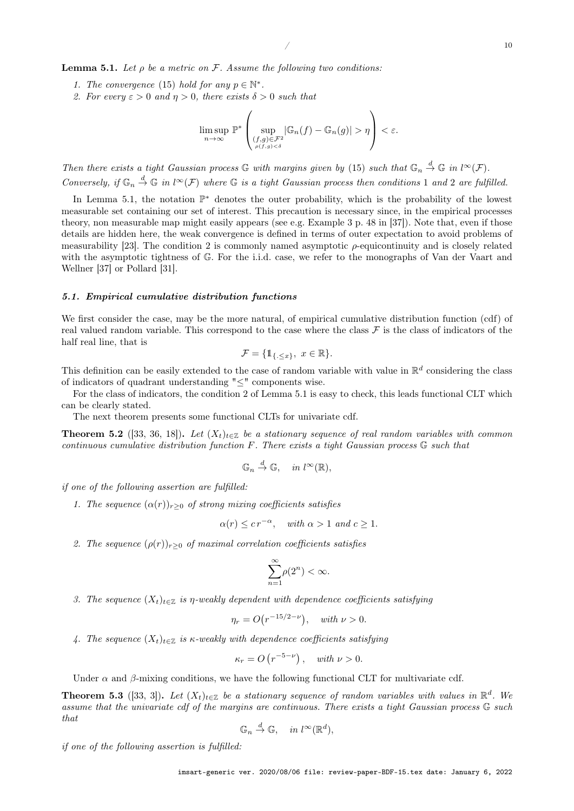2. For every  $\varepsilon > 0$  and  $\eta > 0$ , there exists  $\delta > 0$  such that

1. The convergence (15) hold for any  $p \in \mathbb{N}^*$ .

**Lemma 5.1.** Let  $\rho$  be a metric on F. Assume the following two conditions:

$$
\limsup_{n\to\infty} \mathbb{P}^*\left(\sup_{\substack{(f,g)\in\mathcal{F}^2\\ \rho(f,g)<\delta}} |\mathbb{G}_n(f)-\mathbb{G}_n(g)|>\eta\right)<\varepsilon.
$$

Then there exists a tight Gaussian process  $\mathbb G$  with margins given by (15) such that  $\mathbb G_n \stackrel{d}{\to} \mathbb G$  in  $l^{\infty}(\mathcal{F})$ . Conversely, if  $\mathbb{G}_n \stackrel{d}{\to} \mathbb{G}$  in  $l^{\infty}(\mathcal{F})$  where  $\mathbb{G}$  is a tight Gaussian process then conditions 1 and 2 are fulfilled.

In Lemma 5.1, the notation P <sup>∗</sup> denotes the outer probability, which is the probability of the lowest measurable set containing our set of interest. This precaution is necessary since, in the empirical processes theory, non measurable map might easily appears (see e.g. Example 3 p. 48 in [37]). Note that, even if those details are hidden here, the weak convergence is defined in terms of outer expectation to avoid problems of measurability [23]. The condition 2 is commonly named asymptotic  $\rho$ -equicontinuity and is closely related with the asymptotic tightness of G. For the i.i.d. case, we refer to the monographs of Van der Vaart and Wellner [37] or Pollard [31].

#### 5.1. Empirical cumulative distribution functions

We first consider the case, may be the more natural, of empirical cumulative distribution function (cdf) of real valued random variable. This correspond to the case where the class  $\mathcal F$  is the class of indicators of the half real line, that is

$$
\mathcal{F} = \{ \mathbb{1}_{\{ \cdot \leq x \}}, \ x \in \mathbb{R} \}.
$$

This definition can be easily extended to the case of random variable with value in  $\mathbb{R}^d$  considering the class of indicators of quadrant understanding "≤" components wise.

For the class of indicators, the condition 2 of Lemma 5.1 is easy to check, this leads functional CLT which can be clearly stated.

The next theorem presents some functional CLTs for univariate cdf.

**Theorem 5.2** ([33, 36, 18]). Let  $(X_t)_{t\in\mathbb{Z}}$  be a stationary sequence of real random variables with common continuous cumulative distribution function  $F$ . There exists a tight Gaussian process  $\mathbb G$  such that

$$
\mathbb{G}_n \stackrel{d}{\to} \mathbb{G}, \quad in \; l^{\infty}(\mathbb{R}),
$$

if one of the following assertion are fulfilled:

1. The sequence  $(\alpha(r))_{r>0}$  of strong mixing coefficients satisfies

$$
\alpha(r) \le cr^{-\alpha}, \quad \text{with } \alpha > 1 \text{ and } c \ge 1.
$$

2. The sequence  $(\rho(r))_{r>0}$  of maximal correlation coefficients satisfies

$$
\sum_{n=1}^{\infty} \rho(2^n) < \infty.
$$

3. The sequence  $(X_t)_{t\in\mathbb{Z}}$  is  $\eta$ -weakly dependent with dependence coefficients satisfying

$$
\eta_r = O\big(r^{-15/2 - \nu}\big), \quad \text{with } \nu > 0.
$$

4. The sequence  $(X_t)_{t\in\mathbb{Z}}$  is  $\kappa$ -weakly with dependence coefficients satisfying

$$
\kappa_r = O\left(r^{-5-\nu}\right), \quad \text{with } \nu > 0.
$$

Under  $\alpha$  and  $\beta$ -mixing conditions, we have the following functional CLT for multivariate cdf.

**Theorem 5.3** ([33, 3]). Let  $(X_t)_{t \in \mathbb{Z}}$  be a stationary sequence of random variables with values in  $\mathbb{R}^d$ . We assume that the univariate cdf of the margins are continuous. There exists a tight Gaussian process G such that

$$
\mathbb{G}_n \stackrel{d}{\to} \mathbb{G}, \quad in \; l^{\infty}(\mathbb{R}^d),
$$

if one of the following assertion is fulfilled: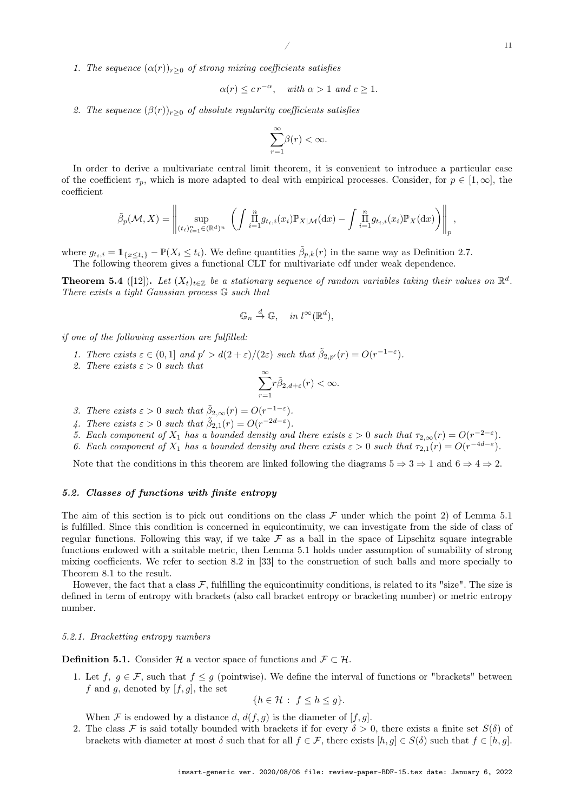1. The sequence  $(\alpha(r))_{r>0}$  of strong mixing coefficients satisfies

$$
\alpha(r) \leq c r^{-\alpha}
$$
, with  $\alpha > 1$  and  $c \geq 1$ .

2. The sequence  $(\beta(r))_{r>0}$  of absolute regularity coefficients satisfies

$$
\sum_{r=1}^{\infty} \beta(r) < \infty.
$$

In order to derive a multivariate central limit theorem, it is convenient to introduce a particular case of the coefficient  $\tau_p$ , which is more adapted to deal with empirical processes. Consider, for  $p \in [1,\infty]$ , the coefficient

$$
\tilde{\beta}_p(\mathcal{M},X) = \left\| \sup_{(t_i)_{i=1}^n \in (\mathbb{R}^d)^n} \left( \int \prod_{i=1}^n g_{t_i,i}(x_i) \mathbb{P}_{X|\mathcal{M}}(\mathrm{d}x) - \int \prod_{i=1}^n g_{t_i,i}(x_i) \mathbb{P}_X(\mathrm{d}x) \right) \right\|_p,
$$

where  $g_{t_i,i} = \mathbb{1}_{\{x \le t_i\}} - \mathbb{P}(X_i \le t_i)$ . We define quantities  $\tilde{\beta}_{p,k}(r)$  in the same way as Definition 2.7. The following theorem gives a functional CLT for multivariate cdf under weak dependence.

**Theorem 5.4** ([12]). Let  $(X_t)_{t \in \mathbb{Z}}$  be a stationary sequence of random variables taking their values on  $\mathbb{R}^d$ . There exists a tight Gaussian process G such that

$$
\mathbb{G}_n \stackrel{d}{\to} \mathbb{G}, \quad in \; l^{\infty}(\mathbb{R}^d),
$$

if one of the following assertion are fulfilled:

- 1. There exists  $\varepsilon \in (0,1]$  and  $p' > d(2+\varepsilon)/(2\varepsilon)$  such that  $\tilde{\beta}_{2,p'}(r) = O(r^{-1-\varepsilon}).$
- 2. There exists  $\varepsilon > 0$  such that

$$
\sum_{r=1}^{\infty} r\tilde{\beta}_{2,d+\varepsilon}(r) < \infty.
$$

- 3. There exists  $\varepsilon > 0$  such that  $\tilde{\beta}_{2,\infty}(r) = O(r^{-1-\varepsilon}).$
- 4. There exists  $\varepsilon > 0$  such that  $\tilde{\beta}_{2,1}(r) = O(r^{-2d-\varepsilon}).$
- 5. Each component of  $X_1$  has a bounded density and there exists  $\varepsilon > 0$  such that  $\tau_{2,\infty}(r) = O(r^{-2-\varepsilon})$ .
- 6. Each component of  $X_1$  has a bounded density and there exists  $\varepsilon > 0$  such that  $\tau_{2,1}(r) = O(r^{-4d-\varepsilon})$ .

Note that the conditions in this theorem are linked following the diagrams  $5 \Rightarrow 3 \Rightarrow 1$  and  $6 \Rightarrow 4 \Rightarrow 2$ .

#### 5.2. Classes of functions with finite entropy

The aim of this section is to pick out conditions on the class  $\mathcal F$  under which the point 2) of Lemma 5.1 is fulfilled. Since this condition is concerned in equicontinuity, we can investigate from the side of class of regular functions. Following this way, if we take  $\mathcal F$  as a ball in the space of Lipschitz square integrable functions endowed with a suitable metric, then Lemma 5.1 holds under assumption of sumability of strong mixing coefficients. We refer to section 8.2 in [33] to the construction of such balls and more specially to Theorem 8.1 to the result.

However, the fact that a class  $\mathcal F$ , fulfilling the equicontinuity conditions, is related to its "size". The size is defined in term of entropy with brackets (also call bracket entropy or bracketing number) or metric entropy number.

#### 5.2.1. Bracketting entropy numbers

**Definition 5.1.** Consider H a vector space of functions and  $\mathcal{F} \subset \mathcal{H}$ .

1. Let f,  $g \in \mathcal{F}$ , such that  $f \leq g$  (pointwise). We define the interval of functions or "brackets" between f and g, denoted by  $[f, g]$ , the set

$$
\{h \in \mathcal{H} : f \le h \le g\}.
$$

When F is endowed by a distance d,  $d(f, g)$  is the diameter of  $[f, g]$ .

2. The class F is said totally bounded with brackets if for every  $\delta > 0$ , there exists a finite set  $S(\delta)$  of brackets with diameter at most  $\delta$  such that for all  $f \in \mathcal{F}$ , there exists  $[h, g] \in S(\delta)$  such that  $f \in [h, g]$ .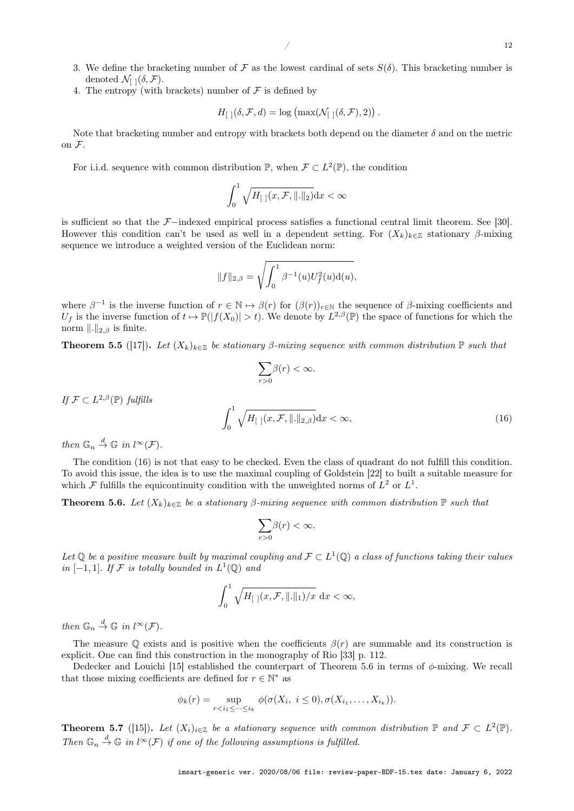- 3. We define the bracketing number of F as the lowest cardinal of sets  $S(\delta)$ . This bracketing number is denoted  $\mathcal{N}_{[1]}(\delta, \mathcal{F}).$
- 4. The entropy (with brackets) number of  $\mathcal F$  is defined by

$$
H_{\left[\right]\left]}(\delta, \mathcal{F}, d) = \log \left( \max(\mathcal{N}_{\left[\right]\left[}(\delta, \mathcal{F}), 2) \right) \right).
$$

Note that bracketing number and entropy with brackets both depend on the diameter  $\delta$  and on the metric on  $\mathcal{F}.$ 

For i.i.d. sequence with common distribution  $\mathbb{P}$ , when  $\mathcal{F} \subset L^2(\mathbb{P})$ , the condition

$$
\int_0^1 \sqrt{H_{\left[\; \right]\left(x,\mathcal{F},\, \right]\,\cdot\,\|_2}} \mathrm{d} x < \infty
$$

is sufficient so that the F−indexed empirical process satisfies a functional central limit theorem. See [30]. However this condition can't be used as well in a dependent setting. For  $(X_k)_{k\in\mathbb{Z}}$  stationary  $\beta$ -mixing sequence we introduce a weighted version of the Euclidean norm:

$$
||f||_{2,\beta} = \sqrt{\int_0^1 \beta^{-1}(u)U_f^2(u) \mathrm{d}(u)},
$$

where  $\beta^{-1}$  is the inverse function of  $r \in \mathbb{N} \mapsto \beta(r)$  for  $(\beta(r))_{r \in \mathbb{N}}$  the sequence of  $\beta$ -mixing coefficients and  $U_f$  is the inverse function of  $t \mapsto \mathbb{P}(|f(X_0)| > t)$ . We denote by  $L^{2,\beta}(\mathbb{P})$  the space of functions for which the norm  $\|.\|_{2,\beta}$  is finite.

**Theorem 5.5** ([17]). Let  $(X_k)_{k\in\mathbb{Z}}$  be stationary  $\beta$ -mixing sequence with common distribution  $\mathbb{P}$  such that

$$
\sum_{r>0}\beta(r)<\infty.
$$

If  $\mathcal{F} \subset L^{2,\beta}(\mathbb{P})$  fulfills

$$
\int_0^1 \sqrt{H_{\left[\right]}\left(x,\mathcal{F},\left\|\right.\right\|\right]_{2,\beta}}\right)dx < \infty,\tag{16}
$$

then  $\mathbb{G}_n \stackrel{d}{\to} \mathbb{G}$  in  $l^{\infty}(\mathcal{F})$ .

The condition (16) is not that easy to be checked. Even the class of quadrant do not fulfill this condition. To avoid this issue, the idea is to use the maximal coupling of Goldstein [22] to built a suitable measure for which F fulfills the equicontinuity condition with the unweighted norms of  $L^2$  or  $L^1$ .

**Theorem 5.6.** Let  $(X_k)_{k\in\mathbb{Z}}$  be a stationary  $\beta$ -mixing sequence with common distribution  $\mathbb{P}$  such that

$$
\sum_{r>0}\!\beta(r)<\infty.
$$

Let Q be a positive measure built by maximal coupling and  $\mathcal{F} \subset L^1(\mathbb{Q})$  a class of functions taking their values in [-1,1]. If F is totally bounded in  $L^1(\mathbb{Q})$  and

$$
\int_0^1 \sqrt{H_{\left[\right]}\left(x,\mathcal{F},\left\|\right.\right\|\right)\left/x}\, \, \mathrm{d}x < \infty,
$$

then  $\mathbb{G}_n \stackrel{d}{\to} \mathbb{G}$  in  $l^{\infty}(\mathcal{F})$ .

The measure Q exists and is positive when the coefficients  $\beta(r)$  are summable and its construction is explicit. One can find this construction in the monography of Rio [33] p. 112.

Dedecker and Louichi [15] established the counterpart of Theorem 5.6 in terms of  $\phi$ -mixing. We recall that those mixing coefficients are defined for  $r \in \mathbb{N}^*$  as

$$
\phi_k(r) = \sup_{r < i_1 \leq \dots \leq i_k} \phi(\sigma(X_i, i \leq 0), \sigma(X_{i_1}, \dots, X_{i_k})).
$$

**Theorem 5.7** ([15]). Let  $(X_i)_{i\in\mathbb{Z}}$  be a stationary sequence with common distribution  $\mathbb{P}$  and  $\mathcal{F} \subset L^2(\mathbb{P})$ . Then  $\mathbb{G}_n \stackrel{d}{\rightarrow} \mathbb{G}$  in  $l^{\infty}(\mathcal{F})$  if one of the following assumptions is fulfilled.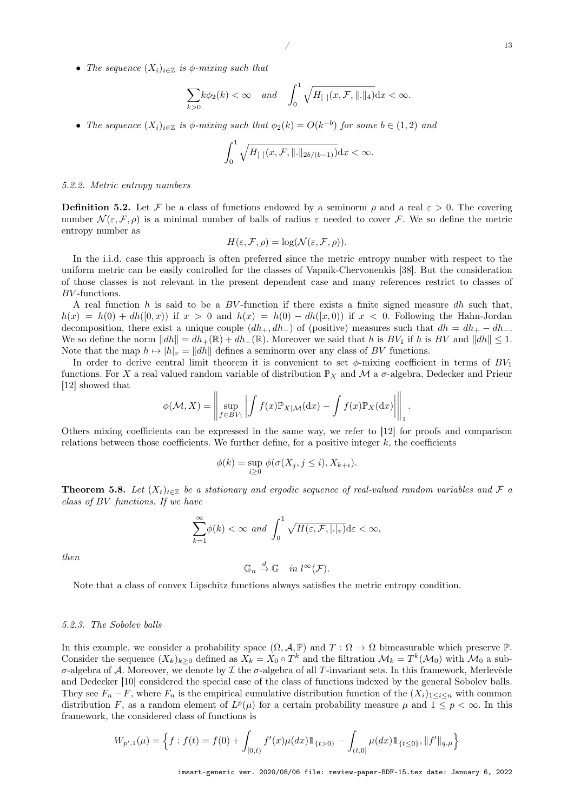• The sequence  $(X_i)_{i\in\mathbb{Z}}$  is  $\phi$ -mixing such that

$$
\sum_{k>0} k\phi_2(k) < \infty \quad \text{and} \quad \int_0^1 \sqrt{H_{\left[\right. \right]}(x,\mathcal{F},\|.\|_4)} \, \mathrm{d}x < \infty.
$$

• The sequence  $(X_i)_{i\in\mathbb{Z}}$  is  $\phi$ -mixing such that  $\phi_2(k) = O(k^{-b})$  for some  $b \in (1,2)$  and

$$
\int_0^1 \sqrt{H_{\left[\right.]}(x,\mathcal{F},\|.\|_{2b/(b-1)})} \, \mathrm{d}x < \infty.
$$

#### 5.2.2. Metric entropy numbers

**Definition 5.2.** Let F be a class of functions endowed by a seminorm  $\rho$  and a real  $\varepsilon > 0$ . The covering number  $\mathcal{N}(\varepsilon, \mathcal{F}, \rho)$  is a minimal number of balls of radius  $\varepsilon$  needed to cover  $\mathcal{F}$ . We so define the metric entropy number as

$$
H(\varepsilon, \mathcal{F}, \rho) = \log(\mathcal{N}(\varepsilon, \mathcal{F}, \rho)).
$$

In the i.i.d. case this approach is often preferred since the metric entropy number with respect to the uniform metric can be easily controlled for the classes of Vapnik-Chervonenkis [38]. But the consideration of those classes is not relevant in the present dependent case and many references restrict to classes of BV -functions.

A real function h is said to be a  $BV$ -function if there exists a finite signed measure dh such that,  $h(x) = h(0) + dh([0, x))$  if  $x > 0$  and  $h(x) = h(0) - dh([x, 0))$  if  $x < 0$ . Following the Hahn-Jordan decomposition, there exist a unique couple  $(dh_+, dh_-)$  of (positive) measures such that  $dh = dh_+ - dh_-$ . We so define the norm  $||dh|| = dh_+(\mathbb{R}) + dh_-(\mathbb{R})$ . Moreover we said that h is  $BV_1$  if h is  $BV$  and  $||dh|| \leq 1$ . Note that the map  $h \mapsto |h|_v = ||dh||$  defines a seminorm over any class of BV functions.

In order to derive central limit theorem it is convenient to set  $\phi$ -mixing coefficient in terms of  $BV_1$ functions. For X a real valued random variable of distribution  $\mathbb{P}_X$  and M a  $\sigma$ -algebra, Dedecker and Prieur [12] showed that

$$
\phi(\mathcal{M}, X) = \left\| \sup_{f \in BV_1} \left| \int f(x) \mathbb{P}_{X|\mathcal{M}}(\mathrm{d}x) - \int f(x) \mathbb{P}_X(\mathrm{d}x) \right| \right\|_1.
$$

Others mixing coefficients can be expressed in the same way, we refer to [12] for proofs and comparison relations between those coefficients. We further define, for a positive integer  $k$ , the coefficients

$$
\phi(k) = \sup_{i \ge 0} \phi(\sigma(X_j, j \le i), X_{k+i}).
$$

**Theorem 5.8.** Let  $(X_t)_{t\in\mathbb{Z}}$  be a stationary and ergodic sequence of real-valued random variables and F a class of BV functions. If we have

$$
\sum_{k=1}^{\infty} \phi(k) < \infty \text{ and } \int_{0}^{1} \sqrt{H(\varepsilon, \mathcal{F}, |\cdot|_{v})} \, \mathrm{d}\varepsilon < \infty,
$$
\n
$$
\mathbb{G}_{n} \xrightarrow{d} \mathbb{G} \quad \text{in } l^{\infty}(\mathcal{F}).
$$

then

Note that a class of convex Lipschitz functions always satisfies the metric entropy condition.

#### 5.2.3. The Sobolev balls

In this example, we consider a probability space  $(\Omega, \mathcal{A}, \mathbb{P})$  and  $T : \Omega \to \Omega$  bimeasurable which preserve  $\mathbb{P}$ . Consider the sequence  $(X_k)_{k\geq 0}$  defined as  $X_k = X_0 \circ T^k$  and the filtration  $\mathcal{M}_k = T^k(\mathcal{M}_0)$  with  $\mathcal{M}_0$  a subσ-algebra of A. Moreover, we denote by  $\mathcal I$  the σ-algebra of all T-invariant sets. In this framework, Merlevède and Dedecker [10] considered the special case of the class of functions indexed by the general Sobolev balls. They see  $F_n - F$ , where  $F_n$  is the empirical cumulative distribution function of the  $(X_i)_{1 \leq i \leq n}$  with common distribution F, as a random element of  $L^p(\mu)$  for a certain probability measure  $\mu$  and  $1 \leq p < \infty$ . In this framework, the considered class of functions is

$$
W_{p',1}(\mu) = \left\{ f : f(t) = f(0) + \int_{[0,t)} f'(x) \mu(dx) \mathbb{1}_{\{t > 0\}} - \int_{(t,0]} \mu(dx) \mathbb{1}_{\{t \le 0\}}, ||f'||_{q,\mu} \right\}
$$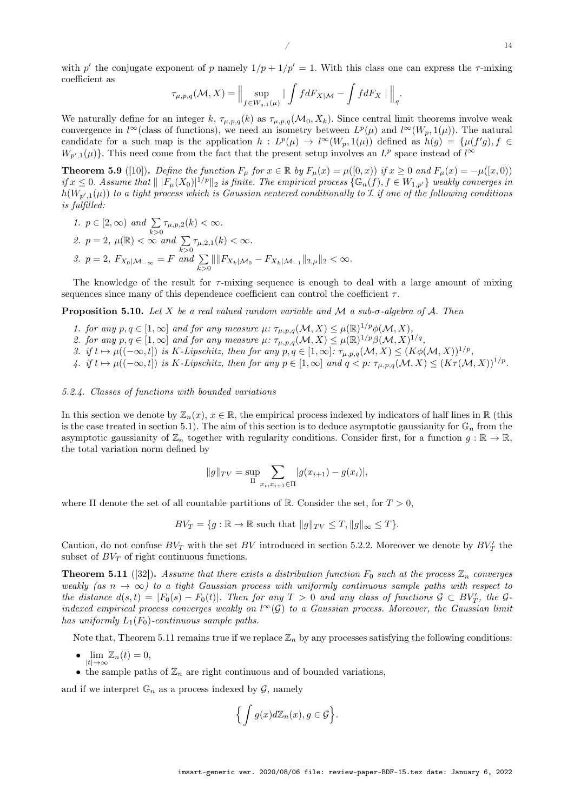$/$  14

with p' the conjugate exponent of p namely  $1/p + 1/p' = 1$ . With this class one can express the  $\tau$ -mixing coefficient as

$$
\tau_{\mu,p,q}(\mathcal{M},X)=\Big\|\sup_{f\in W_{q,1}(\mu)}|\int fdF_{X|\mathcal{M}}-\int fdF_X\mid\Big\|_q.
$$

We naturally define for an integer k,  $\tau_{\mu,p,q}(k)$  as  $\tau_{\mu,p,q}(\mathcal{M}_0, X_k)$ . Since central limit theorems involve weak convergence in l<sup>∞</sup>(class of functions), we need an isometry between  $L^p(\mu)$  and  $l^{\infty}(W_p, 1(\mu))$ . The natural candidate for a such map is the application  $h: L^p(\mu) \to l^{\infty}(W_p, 1(\mu))$  defined as  $h(g) = {\mu(f'g), f \in$  $W_{p',1}(\mu)$ . This need come from the fact that the present setup involves an  $L^p$  space instead of  $l^{\infty}$ 

**Theorem 5.9** ([10]). Define the function  $F_{\mu}$  for  $x \in \mathbb{R}$  by  $F_{\mu}(x) = \mu([0, x))$  if  $x \ge 0$  and  $F_{\mu}(x) = -\mu([x, 0))$ if  $x \leq 0$ . Assume that  $|| |F_{\mu}(X_0)|^{1/p} ||_2$  is finite. The empirical process  $\{\mathbb{G}_n(f), f \in W_{1,p'}\}$  weakly converges in  $h(W_{p',1}(\mu))$  to a tight process which is Gaussian centered conditionally to I if one of the following conditions is fulfilled:

1. 
$$
p \in [2, \infty)
$$
 and  $\sum_{k>0} \tau_{\mu, p, 2}(k) < \infty$ .  
\n2.  $p = 2$ ,  $\mu(\mathbb{R}) < \infty$  and  $\sum_{k>0} \tau_{\mu, 2, 1}(k) < \infty$ .  
\n3.  $p = 2$ ,  $F_{X_0|M_{-\infty}} = F$  and  $\sum_{k>0} || ||F_{X_k|M_0} - F_{X_k|M_{-1}}||_{2, \mu} ||_2 < \infty$ .

The knowledge of the result for  $\tau$ -mixing sequence is enough to deal with a large amount of mixing sequences since many of this dependence coefficient can control the coefficient  $\tau$ .

**Proposition 5.10.** Let X be a real valued random variable and M a sub- $\sigma$ -algebra of A. Then

- 1. for any  $p, q \in [1, \infty]$  and for any measure  $\mu$ :  $\tau_{\mu, p, q}(\mathcal{M}, X) \leq \mu(\mathbb{R})^{1/p} \phi(\mathcal{M}, X)$ ,
- 2. for any  $p, q \in [1, \infty]$  and for any measure  $\mu$ :  $\tau_{\mu, p, q}(\mathcal{M}, X) \leq \mu(\mathbb{R})^{1/p} \beta(\mathcal{M}, X)^{1/q}$ ,
- 3. if  $t \mapsto \mu((-\infty, t])$  is K-Lipschitz, then for any  $p, q \in [1, \infty]$ :  $\tau_{\mu, p, q}(\mathcal{M}, X) \leq (K\phi(\mathcal{M}, X))^{1/p}$ ,
- 4. if  $t \mapsto \mu((-\infty, t])$  is K-Lipschitz, then for any  $p \in [1, \infty]$  and  $q < p$ :  $\tau_{\mu, p, q}(\mathcal{M}, X) \leq (K\tau(\mathcal{M}, X))^{1/p}$ .

#### 5.2.4. Classes of functions with bounded variations

In this section we denote by  $\mathbb{Z}_n(x)$ ,  $x \in \mathbb{R}$ , the empirical process indexed by indicators of half lines in  $\mathbb{R}$  (this is the case treated in section 5.1). The aim of this section is to deduce asymptotic gaussianity for  $\mathbb{G}_n$  from the asymptotic gaussianity of  $\mathbb{Z}_n$  together with regularity conditions. Consider first, for a function  $g : \mathbb{R} \to \mathbb{R}$ , the total variation norm defined by

$$
||g||_{TV} = \sup_{\Pi} \sum_{x_i, x_{i+1} \in \Pi} |g(x_{i+1}) - g(x_i)|,
$$

where  $\Pi$  denote the set of all countable partitions of R. Consider the set, for  $T > 0$ ,

 $BV_T = \{q : \mathbb{R} \to \mathbb{R} \text{ such that } ||q||_{TV} \leq T, ||q||_{\infty} \leq T\}.$ 

Caution, do not confuse  $BV_T$  with the set  $BV$  introduced in section 5.2.2. Moreover we denote by  $BV'_T$  the subset of  $BV_T$  of right continuous functions.

**Theorem 5.11** ([32]). Assume that there exists a distribution function  $F_0$  such at the process  $\mathbb{Z}_n$  converges weakly (as  $n \to \infty$ ) to a tight Gaussian process with uniformly continuous sample paths with respect to the distance  $d(s,t) = |F_0(s) - F_0(t)|$ . Then for any  $T > 0$  and any class of functions  $\mathcal{G} \subset BV_T'$ , the  $\mathcal{G}$ indexed empirical process converges weakly on  $l^{\infty}(\mathcal{G})$  to a Gaussian process. Moreover, the Gaussian limit has uniformly  $L_1(F_0)$ -continuous sample paths.

Note that, Theorem 5.11 remains true if we replace  $\mathbb{Z}_n$  by any processes satisfying the following conditions:

- $\lim_{|t|\to\infty} \mathbb{Z}_n(t) = 0,$
- the sample paths of  $\mathbb{Z}_n$  are right continuous and of bounded variations,

and if we interpret  $\mathbb{G}_n$  as a process indexed by  $\mathcal{G}$ , namely

$$
\Big\{ \int g(x)d\mathbb{Z}_n(x), g \in \mathcal{G} \Big\}.
$$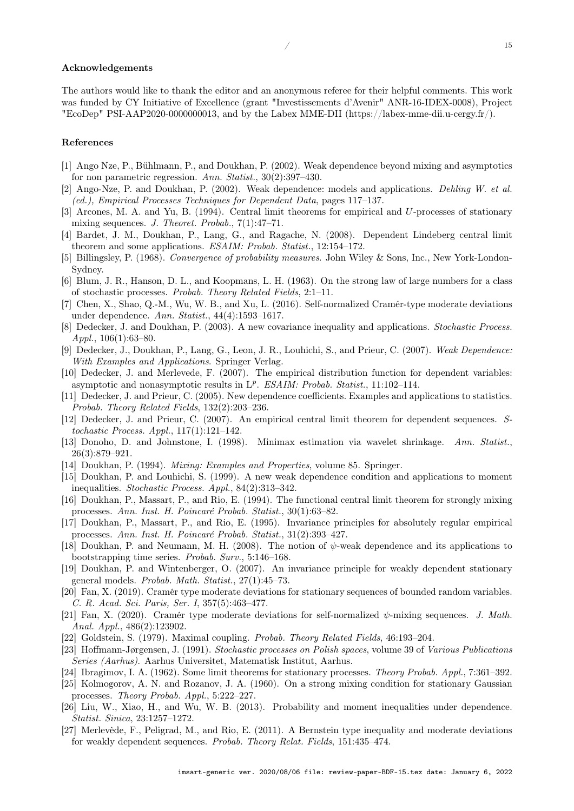### Acknowledgements

The authors would like to thank the editor and an anonymous referee for their helpful comments. This work was funded by CY Initiative of Excellence (grant "Investissements d'Avenir" ANR-16-IDEX-0008), Project "EcoDep" PSI-AAP2020-0000000013, and by the Labex MME-DII (https://labex-mme-dii.u-cergy.fr/).

#### References

- [1] Ango Nze, P., Bühlmann, P., and Doukhan, P. (2002). Weak dependence beyond mixing and asymptotics for non parametric regression. Ann. Statist., 30(2):397–430.
- [2] Ango-Nze, P. and Doukhan, P. (2002). Weak dependence: models and applications. Dehling W. et al. (ed.), Empirical Processes Techniques for Dependent Data, pages 117–137.
- [3] Arcones, M. A. and Yu, B. (1994). Central limit theorems for empirical and U-processes of stationary mixing sequences. J. Theoret. Probab., 7(1):47–71.
- [4] Bardet, J. M., Doukhan, P., Lang, G., and Ragache, N. (2008). Dependent Lindeberg central limit theorem and some applications. ESAIM: Probab. Statist., 12:154–172.
- [5] Billingsley, P. (1968). Convergence of probability measures. John Wiley & Sons, Inc., New York-London-Sydney.
- [6] Blum, J. R., Hanson, D. L., and Koopmans, L. H. (1963). On the strong law of large numbers for a class of stochastic processes. Probab. Theory Related Fields, 2:1–11.
- [7] Chen, X., Shao, Q.-M., Wu, W. B., and Xu, L. (2016). Self-normalized Cramér-type moderate deviations under dependence. Ann. Statist., 44(4):1593–1617.
- [8] Dedecker, J. and Doukhan, P. (2003). A new covariance inequality and applications. Stochastic Process. Appl.,  $106(1):63-80$ .
- [9] Dedecker, J., Doukhan, P., Lang, G., Leon, J. R., Louhichi, S., and Prieur, C. (2007). Weak Dependence: With Examples and Applications. Springer Verlag.
- [10] Dedecker, J. and Merlevede, F. (2007). The empirical distribution function for dependent variables: asymptotic and nonasymptotic results in  $L^p$ . ESAIM: Probab. Statist., 11:102-114.
- [11] Dedecker, J. and Prieur, C. (2005). New dependence coefficients. Examples and applications to statistics. Probab. Theory Related Fields, 132(2):203–236.
- [12] Dedecker, J. and Prieur, C. (2007). An empirical central limit theorem for dependent sequences. Stochastic Process. Appl., 117(1):121–142.
- [13] Donoho, D. and Johnstone, I. (1998). Minimax estimation via wavelet shrinkage. Ann. Statist., 26(3):879–921.
- [14] Doukhan, P. (1994). Mixing: Examples and Properties, volume 85. Springer.
- [15] Doukhan, P. and Louhichi, S. (1999). A new weak dependence condition and applications to moment inequalities. Stochastic Process. Appl., 84(2):313–342.
- [16] Doukhan, P., Massart, P., and Rio, E. (1994). The functional central limit theorem for strongly mixing processes. Ann. Inst. H. Poincaré Probab. Statist., 30(1):63–82.
- [17] Doukhan, P., Massart, P., and Rio, E. (1995). Invariance principles for absolutely regular empirical processes. Ann. Inst. H. Poincaré Probab. Statist., 31(2):393–427.
- [18] Doukhan, P. and Neumann, M. H. (2008). The notion of  $\psi$ -weak dependence and its applications to bootstrapping time series. Probab. Surv., 5:146–168.
- [19] Doukhan, P. and Wintenberger, O. (2007). An invariance principle for weakly dependent stationary general models. Probab. Math. Statist., 27(1):45–73.
- [20] Fan, X. (2019). Cramér type moderate deviations for stationary sequences of bounded random variables. C. R. Acad. Sci. Paris, Ser. I, 357(5):463–477.
- [21] Fan, X. (2020). Cramér type moderate deviations for self-normalized  $\psi$ -mixing sequences. J. Math. Anal. Appl., 486(2):123902.
- [22] Goldstein, S. (1979). Maximal coupling. Probab. Theory Related Fields, 46:193–204.
- [23] Hoffmann-Jørgensen, J. (1991). Stochastic processes on Polish spaces, volume 39 of Various Publications Series (Aarhus). Aarhus Universitet, Matematisk Institut, Aarhus.
- [24] Ibragimov, I. A. (1962). Some limit theorems for stationary processes. Theory Probab. Appl., 7:361–392.
- [25] Kolmogorov, A. N. and Rozanov, J. A. (1960). On a strong mixing condition for stationary Gaussian processes. Theory Probab. Appl., 5:222–227.
- [26] Liu, W., Xiao, H., and Wu, W. B. (2013). Probability and moment inequalities under dependence. Statist. Sinica, 23:1257–1272.
- [27] Merlevède, F., Peligrad, M., and Rio, E. (2011). A Bernstein type inequality and moderate deviations for weakly dependent sequences. Probab. Theory Relat. Fields, 151:435–474.